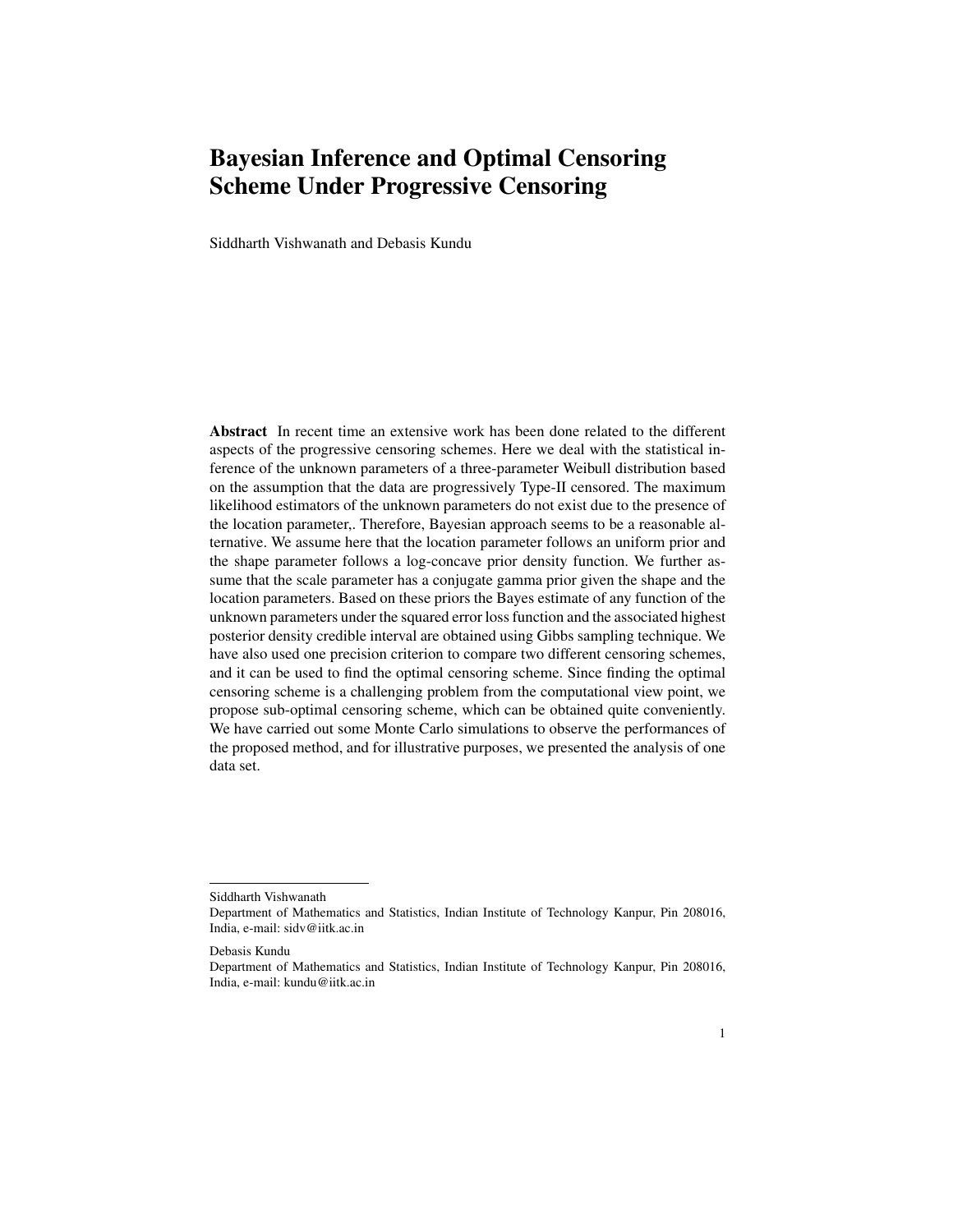# Bayesian Inference and Optimal Censoring Scheme Under Progressive Censoring

Siddharth Vishwanath and Debasis Kundu

Abstract In recent time an extensive work has been done related to the different aspects of the progressive censoring schemes. Here we deal with the statistical inference of the unknown parameters of a three-parameter Weibull distribution based on the assumption that the data are progressively Type-II censored. The maximum likelihood estimators of the unknown parameters do not exist due to the presence of the location parameter,. Therefore, Bayesian approach seems to be a reasonable alternative. We assume here that the location parameter follows an uniform prior and the shape parameter follows a log-concave prior density function. We further assume that the scale parameter has a conjugate gamma prior given the shape and the location parameters. Based on these priors the Bayes estimate of any function of the unknown parameters under the squared error loss function and the associated highest posterior density credible interval are obtained using Gibbs sampling technique. We have also used one precision criterion to compare two different censoring schemes, and it can be used to find the optimal censoring scheme. Since finding the optimal censoring scheme is a challenging problem from the computational view point, we propose sub-optimal censoring scheme, which can be obtained quite conveniently. We have carried out some Monte Carlo simulations to observe the performances of the proposed method, and for illustrative purposes, we presented the analysis of one data set.

Siddharth Vishwanath

Department of Mathematics and Statistics, Indian Institute of Technology Kanpur, Pin 208016, India, e-mail: sidv@iitk.ac.in

Debasis Kundu

Department of Mathematics and Statistics, Indian Institute of Technology Kanpur, Pin 208016, India, e-mail: kundu@iitk.ac.in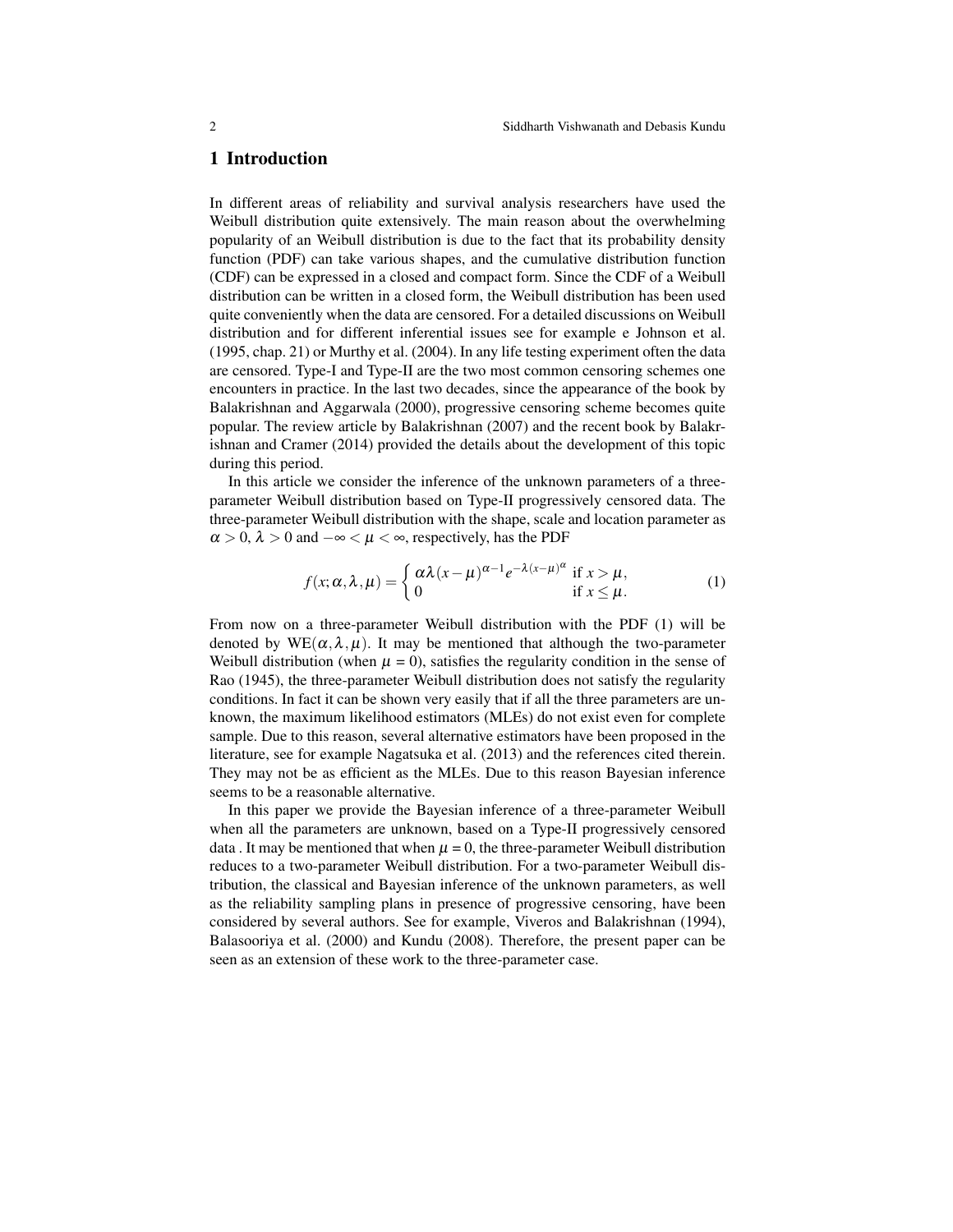#### 1 Introduction

In different areas of reliability and survival analysis researchers have used the Weibull distribution quite extensively. The main reason about the overwhelming popularity of an Weibull distribution is due to the fact that its probability density function (PDF) can take various shapes, and the cumulative distribution function (CDF) can be expressed in a closed and compact form. Since the CDF of a Weibull distribution can be written in a closed form, the Weibull distribution has been used quite conveniently when the data are censored. For a detailed discussions on Weibull distribution and for different inferential issues see for example e Johnson et al. (1995, chap. 21) or Murthy et al. (2004). In any life testing experiment often the data are censored. Type-I and Type-II are the two most common censoring schemes one encounters in practice. In the last two decades, since the appearance of the book by Balakrishnan and Aggarwala (2000), progressive censoring scheme becomes quite popular. The review article by Balakrishnan (2007) and the recent book by Balakrishnan and Cramer (2014) provided the details about the development of this topic during this period.

In this article we consider the inference of the unknown parameters of a threeparameter Weibull distribution based on Type-II progressively censored data. The three-parameter Weibull distribution with the shape, scale and location parameter as  $\alpha > 0$ ,  $\lambda > 0$  and  $-\infty < \mu < \infty$ , respectively, has the PDF

$$
f(x; \alpha, \lambda, \mu) = \begin{cases} \alpha \lambda (x - \mu)^{\alpha - 1} e^{-\lambda (x - \mu)^{\alpha}} & \text{if } x > \mu, \\ 0 & \text{if } x \le \mu. \end{cases}
$$
 (1)

From now on a three-parameter Weibull distribution with the PDF (1) will be denoted by  $WE(\alpha, \lambda, \mu)$ . It may be mentioned that although the two-parameter Weibull distribution (when  $\mu = 0$ ), satisfies the regularity condition in the sense of Rao (1945), the three-parameter Weibull distribution does not satisfy the regularity conditions. In fact it can be shown very easily that if all the three parameters are unknown, the maximum likelihood estimators (MLEs) do not exist even for complete sample. Due to this reason, several alternative estimators have been proposed in the literature, see for example Nagatsuka et al. (2013) and the references cited therein. They may not be as efficient as the MLEs. Due to this reason Bayesian inference seems to be a reasonable alternative.

In this paper we provide the Bayesian inference of a three-parameter Weibull when all the parameters are unknown, based on a Type-II progressively censored data . It may be mentioned that when  $\mu = 0$ , the three-parameter Weibull distribution reduces to a two-parameter Weibull distribution. For a two-parameter Weibull distribution, the classical and Bayesian inference of the unknown parameters, as well as the reliability sampling plans in presence of progressive censoring, have been considered by several authors. See for example, Viveros and Balakrishnan (1994), Balasooriya et al. (2000) and Kundu (2008). Therefore, the present paper can be seen as an extension of these work to the three-parameter case.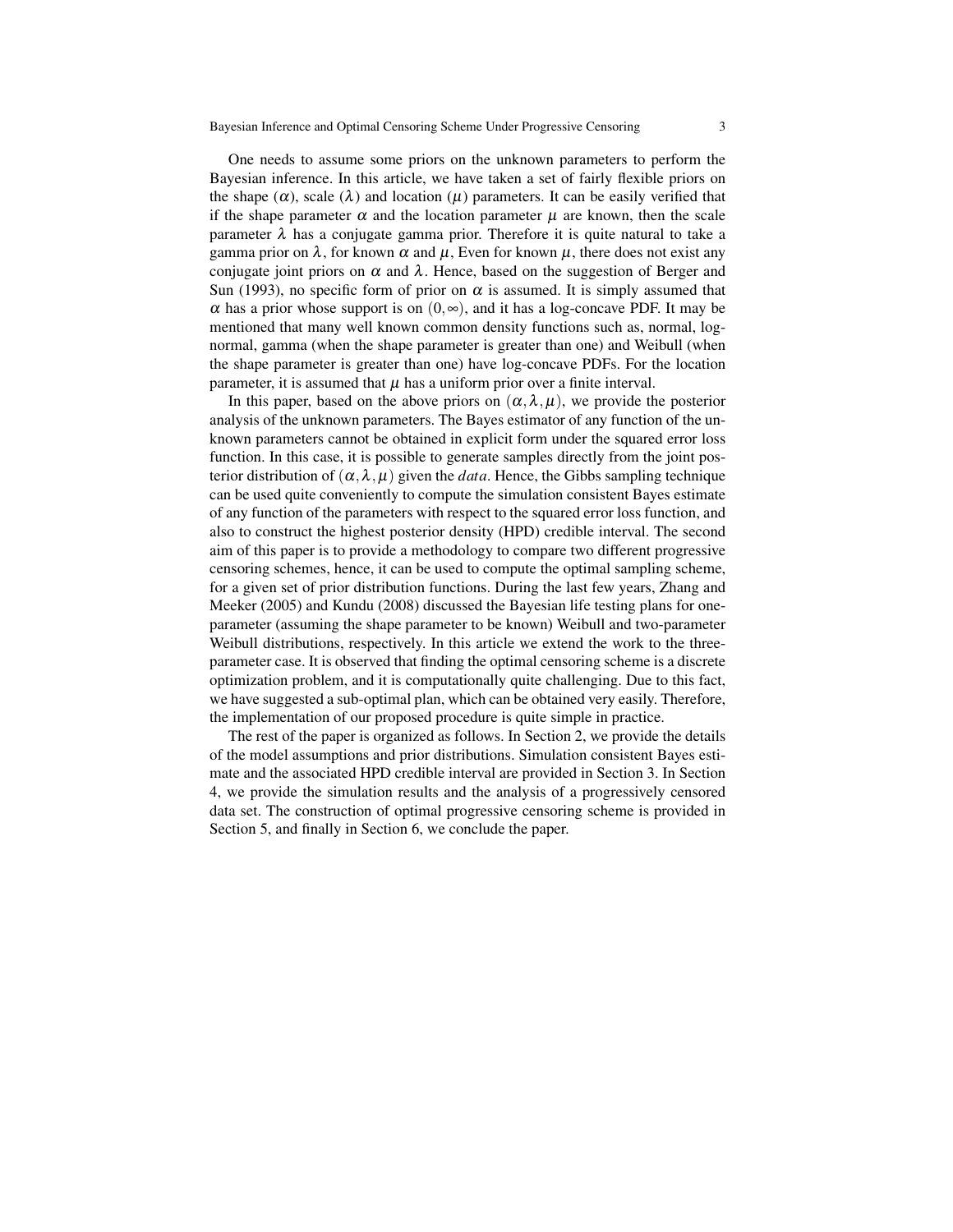One needs to assume some priors on the unknown parameters to perform the Bayesian inference. In this article, we have taken a set of fairly flexible priors on the shape  $(\alpha)$ , scale  $(\lambda)$  and location  $(\mu)$  parameters. It can be easily verified that if the shape parameter  $\alpha$  and the location parameter  $\mu$  are known, then the scale parameter  $\lambda$  has a conjugate gamma prior. Therefore it is quite natural to take a gamma prior on  $\lambda$ , for known  $\alpha$  and  $\mu$ , Even for known  $\mu$ , there does not exist any conjugate joint priors on  $\alpha$  and  $\lambda$ . Hence, based on the suggestion of Berger and Sun (1993), no specific form of prior on  $\alpha$  is assumed. It is simply assumed that  $\alpha$  has a prior whose support is on  $(0, \infty)$ , and it has a log-concave PDF. It may be mentioned that many well known common density functions such as, normal, lognormal, gamma (when the shape parameter is greater than one) and Weibull (when the shape parameter is greater than one) have log-concave PDFs. For the location parameter, it is assumed that  $\mu$  has a uniform prior over a finite interval.

In this paper, based on the above priors on  $(\alpha, \lambda, \mu)$ , we provide the posterior analysis of the unknown parameters. The Bayes estimator of any function of the unknown parameters cannot be obtained in explicit form under the squared error loss function. In this case, it is possible to generate samples directly from the joint posterior distribution of  $(\alpha, \lambda, \mu)$  given the *data*. Hence, the Gibbs sampling technique can be used quite conveniently to compute the simulation consistent Bayes estimate of any function of the parameters with respect to the squared error loss function, and also to construct the highest posterior density (HPD) credible interval. The second aim of this paper is to provide a methodology to compare two different progressive censoring schemes, hence, it can be used to compute the optimal sampling scheme, for a given set of prior distribution functions. During the last few years, Zhang and Meeker (2005) and Kundu (2008) discussed the Bayesian life testing plans for oneparameter (assuming the shape parameter to be known) Weibull and two-parameter Weibull distributions, respectively. In this article we extend the work to the threeparameter case. It is observed that finding the optimal censoring scheme is a discrete optimization problem, and it is computationally quite challenging. Due to this fact, we have suggested a sub-optimal plan, which can be obtained very easily. Therefore, the implementation of our proposed procedure is quite simple in practice.

The rest of the paper is organized as follows. In Section 2, we provide the details of the model assumptions and prior distributions. Simulation consistent Bayes estimate and the associated HPD credible interval are provided in Section 3. In Section 4, we provide the simulation results and the analysis of a progressively censored data set. The construction of optimal progressive censoring scheme is provided in Section 5, and finally in Section 6, we conclude the paper.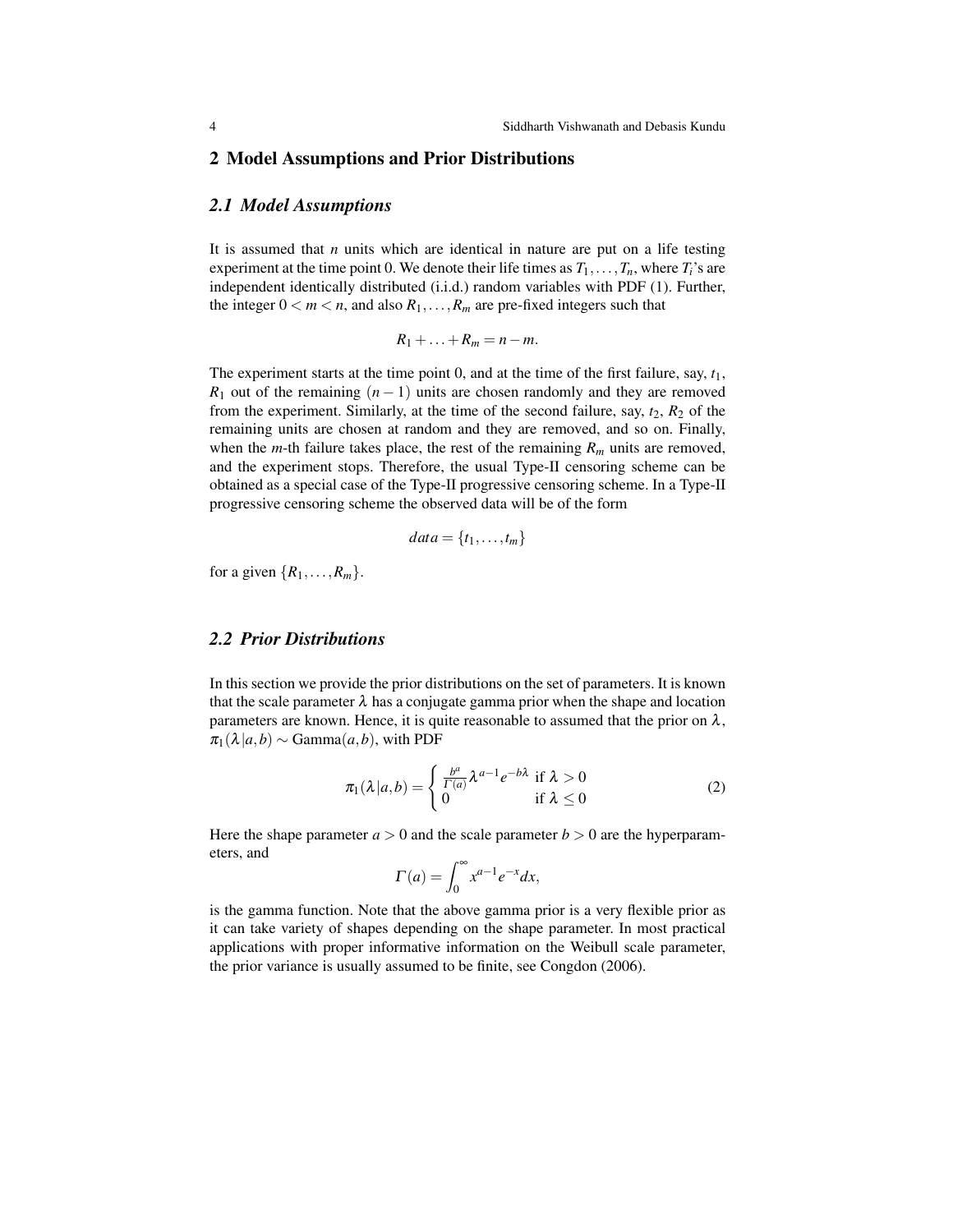#### 2 Model Assumptions and Prior Distributions

#### *2.1 Model Assumptions*

It is assumed that *n* units which are identical in nature are put on a life testing experiment at the time point 0. We denote their life times as  $T_1, \ldots, T_n$ , where  $T_i$ 's are independent identically distributed (i.i.d.) random variables with PDF (1). Further, the integer  $0 < m < n$ , and also  $R_1, \ldots, R_m$  are pre-fixed integers such that

$$
R_1+\ldots+R_m=n-m.
$$

The experiment starts at the time point 0, and at the time of the first failure, say, *t*1, *R*<sub>1</sub> out of the remaining  $(n - 1)$  units are chosen randomly and they are removed from the experiment. Similarly, at the time of the second failure, say,  $t_2$ ,  $R_2$  of the remaining units are chosen at random and they are removed, and so on. Finally, when the *m*-th failure takes place, the rest of the remaining  $R_m$  units are removed, and the experiment stops. Therefore, the usual Type-II censoring scheme can be obtained as a special case of the Type-II progressive censoring scheme. In a Type-II progressive censoring scheme the observed data will be of the form

$$
data = \{t_1, \ldots, t_m\}
$$

for a given  $\{R_1, \ldots, R_m\}$ .

#### *2.2 Prior Distributions*

In this section we provide the prior distributions on the set of parameters. It is known that the scale parameter  $\lambda$  has a conjugate gamma prior when the shape and location parameters are known. Hence, it is quite reasonable to assumed that the prior on  $\lambda$ ,  $\pi_1(\lambda|a,b) \sim \text{Gamma}(a,b)$ , with PDF

$$
\pi_1(\lambda|a,b) = \begin{cases} \frac{b^a}{\Gamma(a)} \lambda^{a-1} e^{-b\lambda} & \text{if } \lambda > 0\\ 0 & \text{if } \lambda \le 0 \end{cases}
$$
 (2)

Here the shape parameter  $a > 0$  and the scale parameter  $b > 0$  are the hyperparameters, and

$$
\Gamma(a) = \int_0^\infty x^{a-1} e^{-x} dx,
$$

is the gamma function. Note that the above gamma prior is a very flexible prior as it can take variety of shapes depending on the shape parameter. In most practical applications with proper informative information on the Weibull scale parameter, the prior variance is usually assumed to be finite, see Congdon (2006).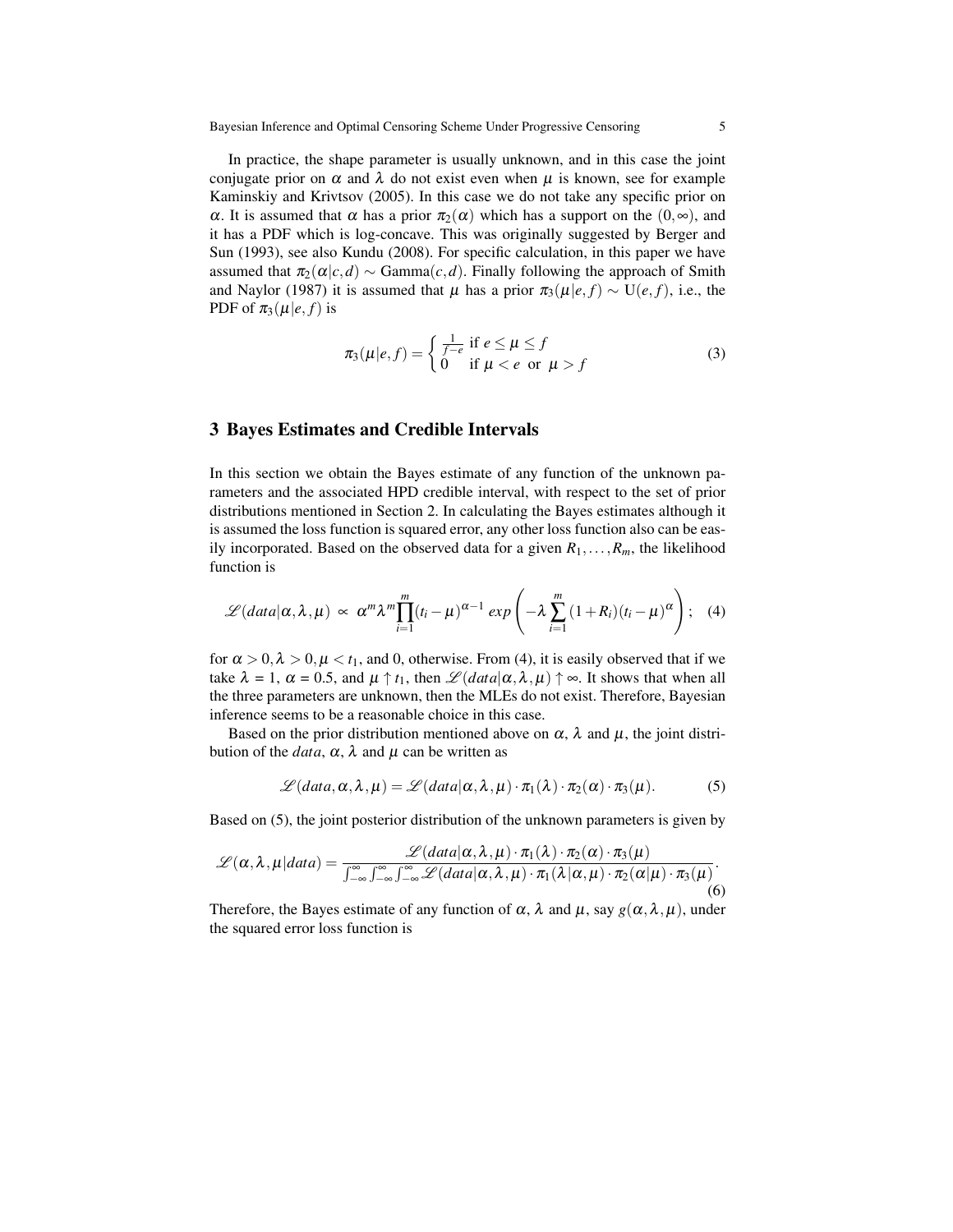Bayesian Inference and Optimal Censoring Scheme Under Progressive Censoring 5

In practice, the shape parameter is usually unknown, and in this case the joint conjugate prior on  $\alpha$  and  $\lambda$  do not exist even when  $\mu$  is known, see for example Kaminskiy and Krivtsov (2005). In this case we do not take any specific prior on α. It is assumed that α has a prior  $\pi_2(\alpha)$  which has a support on the  $(0, ∞)$ , and it has a PDF which is log-concave. This was originally suggested by Berger and Sun (1993), see also Kundu (2008). For specific calculation, in this paper we have assumed that  $\pi_2(\alpha|c,d) \sim \text{Gamma}(c,d)$ . Finally following the approach of Smith and Naylor (1987) it is assumed that  $\mu$  has a prior  $\pi_3(\mu|e, f) \sim U(e, f)$ , i.e., the PDF of  $\pi_3(\mu|e, f)$  is

$$
\pi_3(\mu|e,f) = \begin{cases} \frac{1}{f-e} & \text{if } e \le \mu \le f \\ 0 & \text{if } \mu < e \text{ or } \mu > f \end{cases}
$$
 (3)

#### 3 Bayes Estimates and Credible Intervals

In this section we obtain the Bayes estimate of any function of the unknown parameters and the associated HPD credible interval, with respect to the set of prior distributions mentioned in Section 2. In calculating the Bayes estimates although it is assumed the loss function is squared error, any other loss function also can be easily incorporated. Based on the observed data for a given  $R_1, \ldots, R_m$ , the likelihood function is

$$
\mathscr{L}(data|\alpha,\lambda,\mu) \propto \alpha^m \lambda^m \prod_{i=1}^m (t_i - \mu)^{\alpha-1} \exp\left(-\lambda \sum_{i=1}^m (1 + R_i)(t_i - \mu)^{\alpha}\right); \quad (4)
$$

for  $\alpha > 0$ ,  $\lambda > 0$ ,  $\mu < t_1$ , and 0, otherwise. From (4), it is easily observed that if we take  $\lambda = 1$ ,  $\alpha = 0.5$ , and  $\mu \uparrow t_1$ , then  $\mathscr{L}(data|\alpha, \lambda, \mu) \uparrow \infty$ . It shows that when all the three parameters are unknown, then the MLEs do not exist. Therefore, Bayesian inference seems to be a reasonable choice in this case.

Based on the prior distribution mentioned above on  $\alpha$ ,  $\lambda$  and  $\mu$ , the joint distribution of the *data*,  $\alpha$ ,  $\lambda$  and  $\mu$  can be written as

$$
\mathscr{L}(data,\alpha,\lambda,\mu)=\mathscr{L}(data|\alpha,\lambda,\mu)\cdot\pi_1(\lambda)\cdot\pi_2(\alpha)\cdot\pi_3(\mu). \hspace{1cm} (5)
$$

Based on (5), the joint posterior distribution of the unknown parameters is given by

$$
\mathscr{L}(\alpha,\lambda,\mu|data) = \frac{\mathscr{L}(data|\alpha,\lambda,\mu) \cdot \pi_1(\lambda) \cdot \pi_2(\alpha) \cdot \pi_3(\mu)}{\int_{-\infty}^{\infty} \int_{-\infty}^{\infty} \int_{-\infty}^{\infty} \mathscr{L}(data|\alpha,\lambda,\mu) \cdot \pi_1(\lambda|\alpha,\mu) \cdot \pi_2(\alpha|\mu) \cdot \pi_3(\mu)}.
$$
(6)

Therefore, the Bayes estimate of any function of  $\alpha$ ,  $\lambda$  and  $\mu$ , say  $g(\alpha, \lambda, \mu)$ , under the squared error loss function is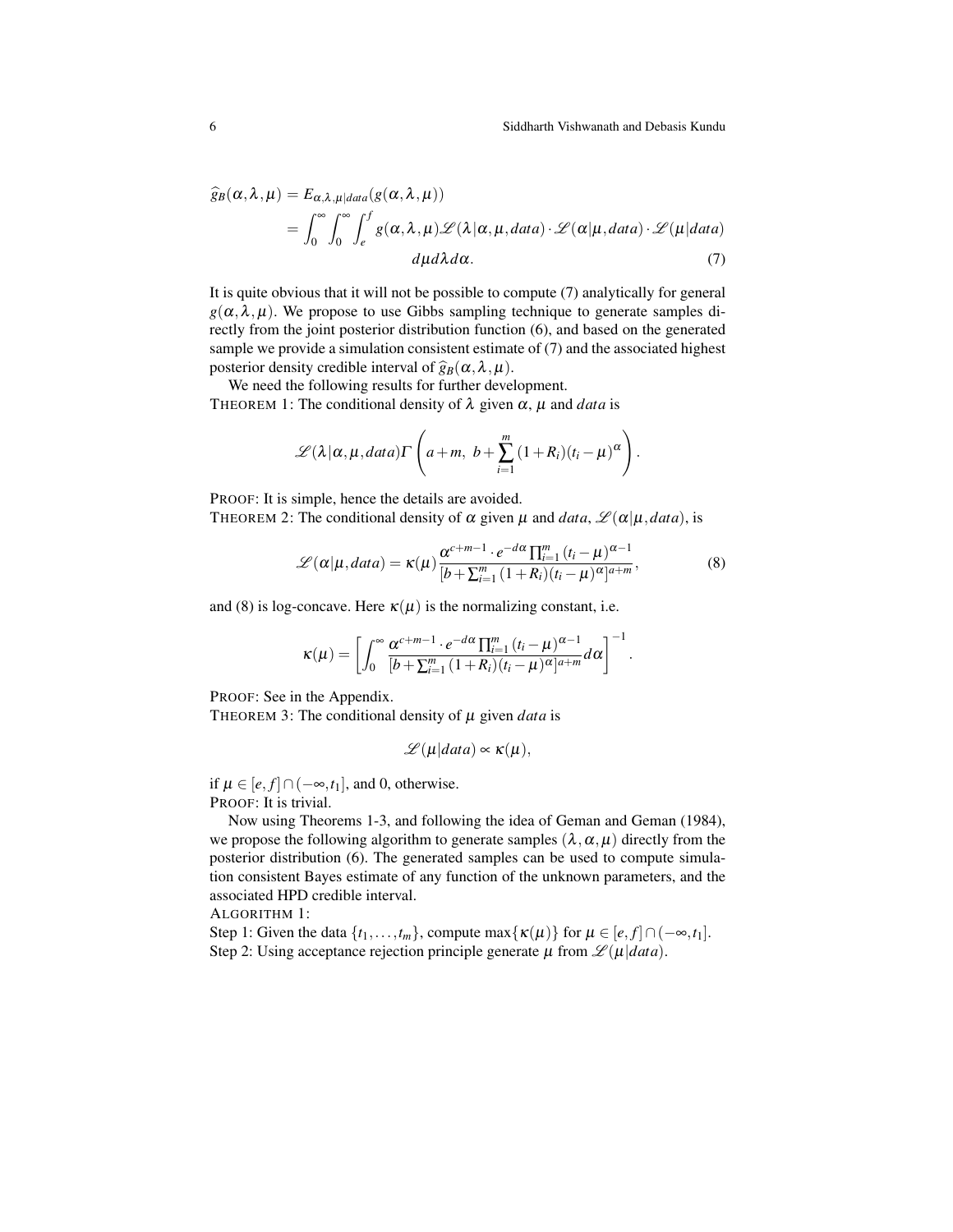$$
\begin{split} \widehat{g}_B(\alpha,\lambda,\mu) &= E_{\alpha,\lambda,\mu|data}(g(\alpha,\lambda,\mu)) \\ &= \int_0^\infty \int_0^\infty \int_e^f g(\alpha,\lambda,\mu) \mathscr{L}(\lambda|\alpha,\mu,data) \cdot \mathscr{L}(\alpha|\mu,data) \cdot \mathscr{L}(\mu|data) \\ &\quad d\mu d\lambda d\alpha. \end{split} \tag{7}
$$

It is quite obvious that it will not be possible to compute (7) analytically for general  $g(\alpha, \lambda, \mu)$ . We propose to use Gibbs sampling technique to generate samples directly from the joint posterior distribution function (6), and based on the generated sample we provide a simulation consistent estimate of (7) and the associated highest posterior density credible interval of  $\hat{g}_B(\alpha, \lambda, \mu)$ .

We need the following results for further development. THEOREM 1: The conditional density of  $\lambda$  given  $\alpha$ ,  $\mu$  and *data* is

$$
\mathscr{L}(\lambda|\alpha,\mu,data)\Gamma\left(a+m,\;b+\sum_{i=1}^m(1+R_i)(t_i-\mu)^{\alpha}\right).
$$

PROOF: It is simple, hence the details are avoided.

THEOREM 2: The conditional density of  $\alpha$  given  $\mu$  and *data*,  $\mathcal{L}(\alpha|\mu, data)$ , is

$$
\mathcal{L}(\alpha|\mu, data) = \kappa(\mu) \frac{\alpha^{c+m-1} \cdot e^{-d\alpha} \prod_{i=1}^{m} (t_i - \mu)^{\alpha-1}}{[b + \sum_{i=1}^{m} (1 + R_i)(t_i - \mu)^{\alpha}]^{a+m}},
$$
(8)

and (8) is log-concave. Here  $\kappa(\mu)$  is the normalizing constant, i.e.

$$
\kappa(\mu)=\left[\int_0^\infty\frac{\alpha^{c+m-1}\cdot e^{-d\alpha}\prod_{i=1}^m\left(t_i-\mu\right)^{\alpha-1}}{[b+\sum_{i=1}^m\left(1+R_i\right)(t_i-\mu)^{\alpha}]^{a+m}}d\alpha\right]^{-1}.
$$

PROOF: See in the Appendix.

THEOREM 3: The conditional density of  $\mu$  given *data* is

$$
\mathscr{L}(\mu|data) \propto \kappa(\mu),
$$

if  $\mu \in [e, f] \cap (-\infty, t_1]$ , and 0, otherwise. PROOF: It is trivial.

Now using Theorems 1-3, and following the idea of Geman and Geman (1984), we propose the following algorithm to generate samples  $(\lambda, \alpha, \mu)$  directly from the posterior distribution (6). The generated samples can be used to compute simulation consistent Bayes estimate of any function of the unknown parameters, and the associated HPD credible interval.

ALGORITHM 1:

Step 1: Given the data  $\{t_1,\ldots,t_m\}$ , compute max $\{\kappa(\mu)\}\$  for  $\mu \in [e, f] \cap (-\infty, t_1]$ . Step 2: Using acceptance rejection principle generate  $\mu$  from  $\mathscr{L}(\mu|data)$ .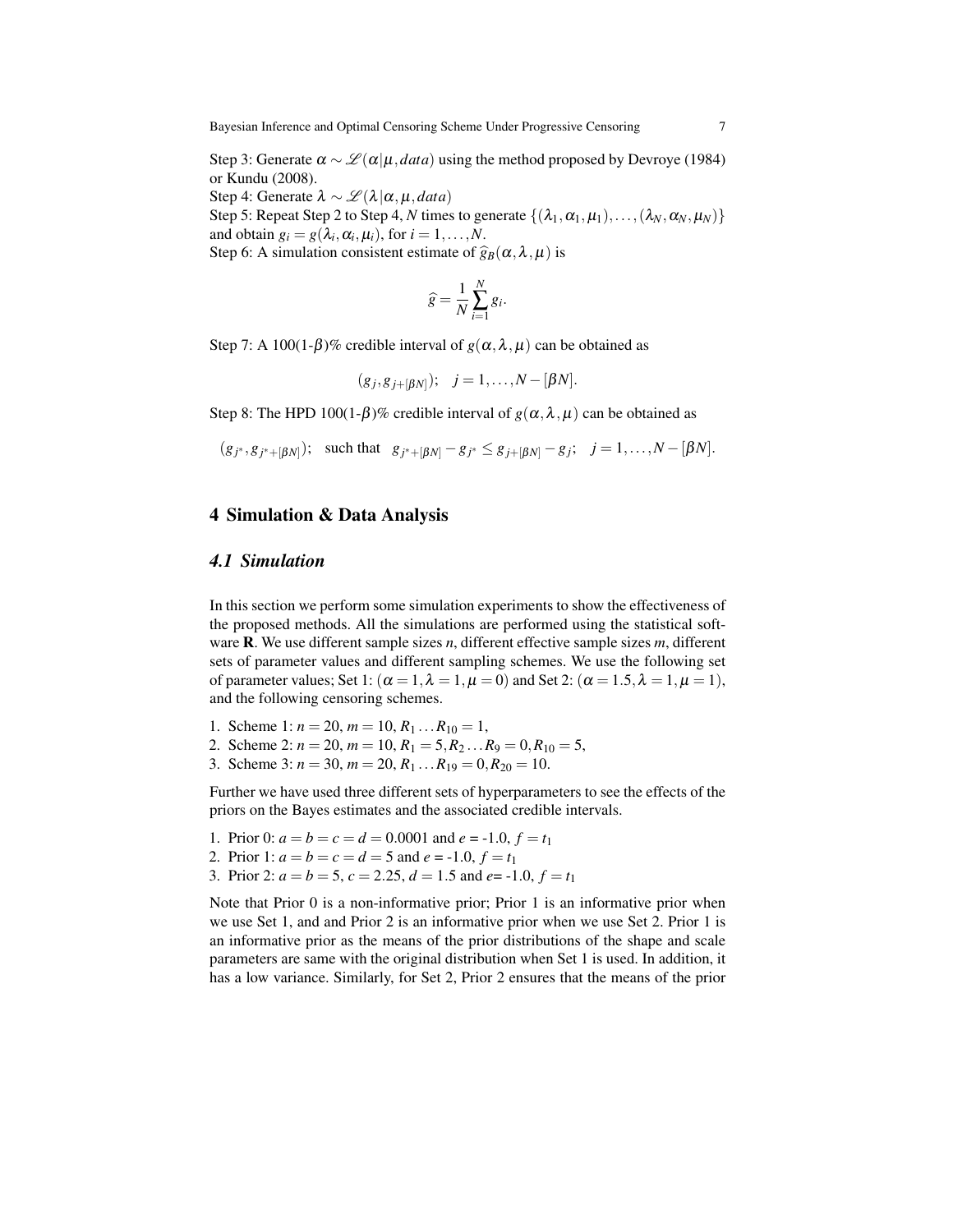Step 3: Generate  $\alpha \sim \mathcal{L}(\alpha|\mu, data)$  using the method proposed by Devroye (1984) or Kundu (2008).

Step 4: Generate  $\lambda \sim \mathcal{L}(\lambda | \alpha, \mu, data)$ 

Step 5: Repeat Step 2 to Step 4, *N* times to generate  $\{(\lambda_1, \alpha_1, \mu_1), \ldots, (\lambda_N, \alpha_N, \mu_N)\}\$ and obtain  $g_i = g(\lambda_i, \alpha_i, \mu_i)$ , for  $i = 1, ..., N$ . Step 6: A simulation consistent estimate of  $\hat{g}_B(\alpha, \lambda, \mu)$  is

$$
\widehat{g} = \frac{1}{N} \sum_{i=1}^{N} g_i.
$$

Step 7: A 100(1- $\beta$ )% credible interval of  $g(\alpha, \lambda, \mu)$  can be obtained as

$$
(g_j, g_{j+[\beta N]})
$$
;  $j = 1,..., N - [\beta N]$ .

Step 8: The HPD 100(1- $\beta$ )% credible interval of  $g(\alpha, \lambda, \mu)$  can be obtained as

$$
(g_{j^*}, g_{j^*+[\beta N]})
$$
; such that  $g_{j^*+[\beta N]} - g_{j^*} \leq g_{j+[\beta N]} - g_j$ ;  $j = 1,..., N - [\beta N]$ .

#### 4 Simulation & Data Analysis

#### *4.1 Simulation*

In this section we perform some simulation experiments to show the effectiveness of the proposed methods. All the simulations are performed using the statistical software R. We use different sample sizes *n*, different effective sample sizes *m*, different sets of parameter values and different sampling schemes. We use the following set of parameter values; Set 1:  $(\alpha = 1, \lambda = 1, \mu = 0)$  and Set 2:  $(\alpha = 1.5, \lambda = 1, \mu = 1)$ , and the following censoring schemes.

- 1. Scheme 1:  $n = 20$ ,  $m = 10$ ,  $R_1 ... R_{10} = 1$ ,
- 2. Scheme 2:  $n = 20$ ,  $m = 10$ ,  $R_1 = 5$ ,  $R_2$ ...  $R_9 = 0$ ,  $R_{10} = 5$ ,
- 3. Scheme 3:  $n = 30$ ,  $m = 20$ ,  $R_1...R_{19} = 0$ ,  $R_{20} = 10$ .

Further we have used three different sets of hyperparameters to see the effects of the priors on the Bayes estimates and the associated credible intervals.

- 1. Prior 0:  $a = b = c = d = 0.0001$  and  $e = -1.0$ ,  $f = t_1$
- 2. Prior 1:  $a = b = c = d = 5$  and  $e = -1.0$ ,  $f = t_1$
- 3. Prior 2:  $a = b = 5$ ,  $c = 2.25$ ,  $d = 1.5$  and  $e = -1.0$ ,  $f = t_1$

Note that Prior 0 is a non-informative prior; Prior 1 is an informative prior when we use Set 1, and and Prior 2 is an informative prior when we use Set 2. Prior 1 is an informative prior as the means of the prior distributions of the shape and scale parameters are same with the original distribution when Set 1 is used. In addition, it has a low variance. Similarly, for Set 2, Prior 2 ensures that the means of the prior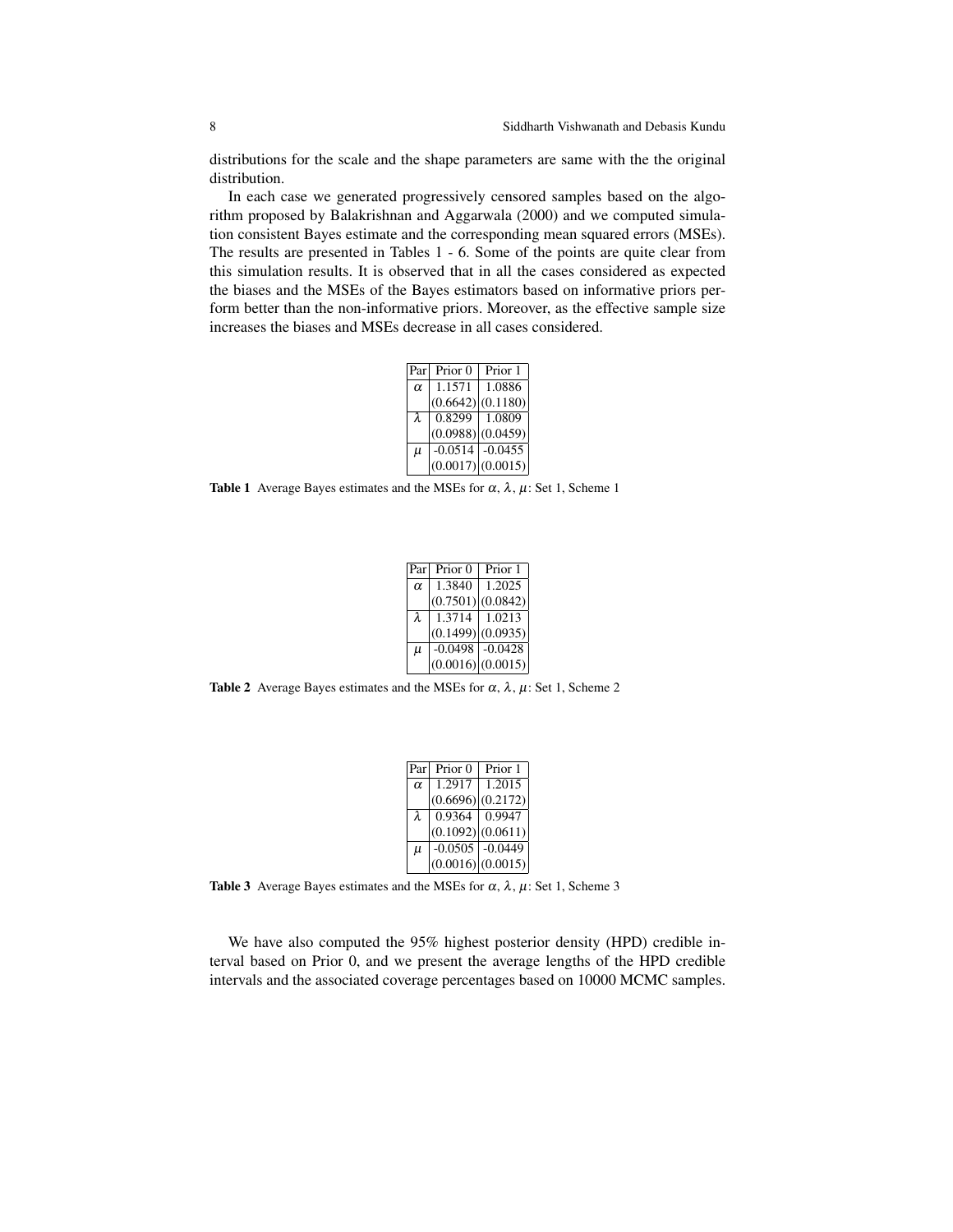8 Siddharth Vishwanath and Debasis Kundu

distributions for the scale and the shape parameters are same with the the original distribution.

In each case we generated progressively censored samples based on the algorithm proposed by Balakrishnan and Aggarwala (2000) and we computed simulation consistent Bayes estimate and the corresponding mean squared errors (MSEs). The results are presented in Tables 1 - 6. Some of the points are quite clear from this simulation results. It is observed that in all the cases considered as expected the biases and the MSEs of the Bayes estimators based on informative priors perform better than the non-informative priors. Moreover, as the effective sample size increases the biases and MSEs decrease in all cases considered.

|           | Parl Prior 0        | Prior 1  |
|-----------|---------------------|----------|
| $\alpha$  | 1.1571              | 1.0886   |
|           | (0.6642)            | (0.1180) |
| $\lambda$ | $0.8299$   1.0809   |          |
|           | (0.0988)(0.0459)    |          |
| $\mu$     | $-0.0514$ $-0.0455$ |          |
|           | (0.0017)(0.0015)    |          |

Table 1 Average Bayes estimates and the MSEs for  $\alpha$ ,  $\lambda$ ,  $\mu$ : Set 1, Scheme 1

|          | Parl Prior 0   Prior 1 |                     |
|----------|------------------------|---------------------|
| $\alpha$ | 1.3840                 | 1.2025              |
|          | (0.7501)(0.0842)       |                     |
| λ        | $1.3714$   1.0213      |                     |
|          | (0.1499)(0.0935)       |                     |
| $\mu$    |                        | $-0.0498$ $-0.0428$ |
|          | (0.0016) (0.0015)      |                     |

Table 2 Average Bayes estimates and the MSEs for  $\alpha$ ,  $\lambda$ ,  $\mu$ : Set 1, Scheme 2

|          | Parl Prior 0   Prior 1 |                   |
|----------|------------------------|-------------------|
| $\alpha$ | $1.2917$   1.2015      |                   |
|          | (0.6696) (0.2172)      |                   |
| λ        |                        | $0.9364$   0.9947 |
|          | (0.1092) (0.0611)      |                   |
| $\mu$    | $-0.0505$ $-0.0449$    |                   |
|          | (0.0016)(0.0015)       |                   |

Table 3 Average Bayes estimates and the MSEs for  $\alpha$ ,  $\lambda$ ,  $\mu$ : Set 1, Scheme 3

We have also computed the 95% highest posterior density (HPD) credible interval based on Prior 0, and we present the average lengths of the HPD credible intervals and the associated coverage percentages based on 10000 MCMC samples.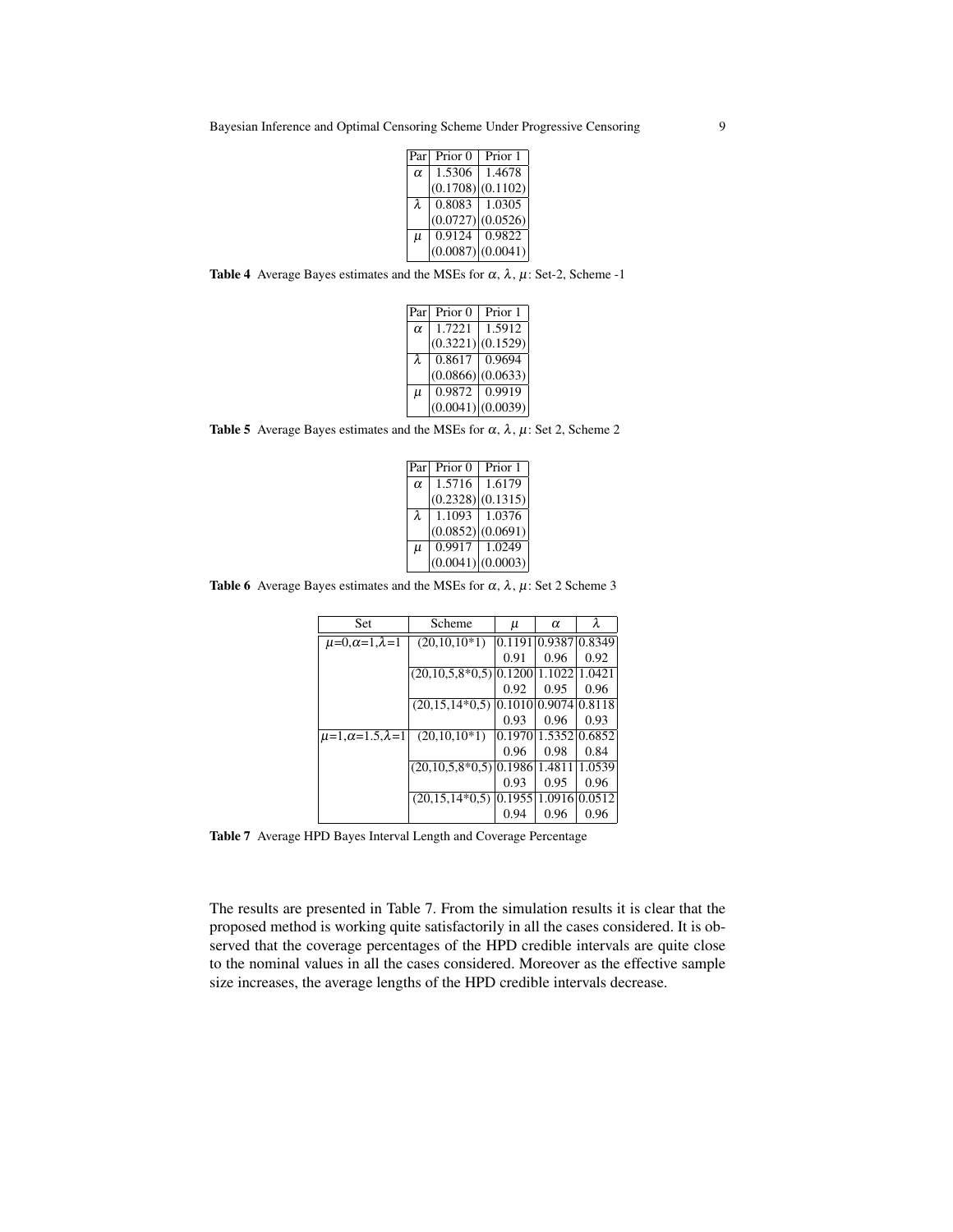|          | Par Prior 0         | Prior 1         |
|----------|---------------------|-----------------|
| $\alpha$ | $\overline{1.5306}$ | 1.4678          |
|          | (0.1708) (0.1102)   |                 |
|          | $0.8083$ 1.0305     |                 |
|          | (0.0727)(0.0526)    |                 |
| $\mu$    |                     | 0.9124   0.9822 |
|          | (0.0087) (0.0041)   |                 |

Table 4 Average Bayes estimates and the MSEs for  $\alpha$ ,  $\lambda$ ,  $\mu$ : Set-2, Scheme -1

|          | Par Prior 0   Prior 1 |                   |
|----------|-----------------------|-------------------|
| $\alpha$ | 1.7221                | 1.5912            |
|          | (0.3221)(0.1529)      |                   |
| λ        |                       | $0.8617$   0.9694 |
|          | (0.0866) (0.0633)     |                   |
| $\mu$    | $0.9872$   0.9919     |                   |
|          | (0.0041)(0.0039)      |                   |

Table 5 Average Bayes estimates and the MSEs for  $\alpha$ ,  $\lambda$ ,  $\mu$ : Set 2, Scheme 2

| Parl     | Prior 0          | Prior 1 |
|----------|------------------|---------|
| $\alpha$ | 1.5716           | 1.6179  |
|          | (0.2328)(0.1315) |         |
| λ        | 1.1093           | 1.0376  |
|          | (0.0852)(0.0691) |         |
| $\mu$    | 0.9917           | 1.0249  |
|          | (0.0041)(0.0003) |         |

Table 6 Average Bayes estimates and the MSEs for  $\alpha$ ,  $\lambda$ ,  $\mu$ : Set 2 Scheme 3

| Set                            | Scheme             | u      | $\alpha$      | λ             |
|--------------------------------|--------------------|--------|---------------|---------------|
| $\mu=0, \alpha=1, \lambda=1$   | $(20,10,10*1)$     | 0.1191 | 0.9387 0.8349 |               |
|                                |                    | 0.91   | 0.96          | 0.92          |
|                                | $(20,10,5,8*0,5)$  | 0.1200 | 1.1022        | 1.0421        |
|                                |                    | 0.92   | 0.95          | 0.96          |
|                                | $(20, 15, 14*0.5)$ | 0.1010 | 0.9074        | 0.8118        |
|                                |                    | 0.93   | 0.96          | 0.93          |
| $\mu=1, \alpha=1.5, \lambda=1$ | $(20,10,10*1)$     | 0.1970 |               | 1.5352 0.6852 |
|                                |                    | 0.96   | 0.98          | 0.84          |
|                                | $(20,10,5,8*0,5)$  | 0.1986 | 1.481         | 1.0539        |
|                                |                    | 0.93   | 0.95          | 0.96          |
|                                | $(20.15, 14*0.5)$  | 0.1955 | 1.0916        | 0.0512        |
|                                |                    | 0.94   | 0.96          | 0.96          |

Table 7 Average HPD Bayes Interval Length and Coverage Percentage

The results are presented in Table 7. From the simulation results it is clear that the proposed method is working quite satisfactorily in all the cases considered. It is observed that the coverage percentages of the HPD credible intervals are quite close to the nominal values in all the cases considered. Moreover as the effective sample size increases, the average lengths of the HPD credible intervals decrease.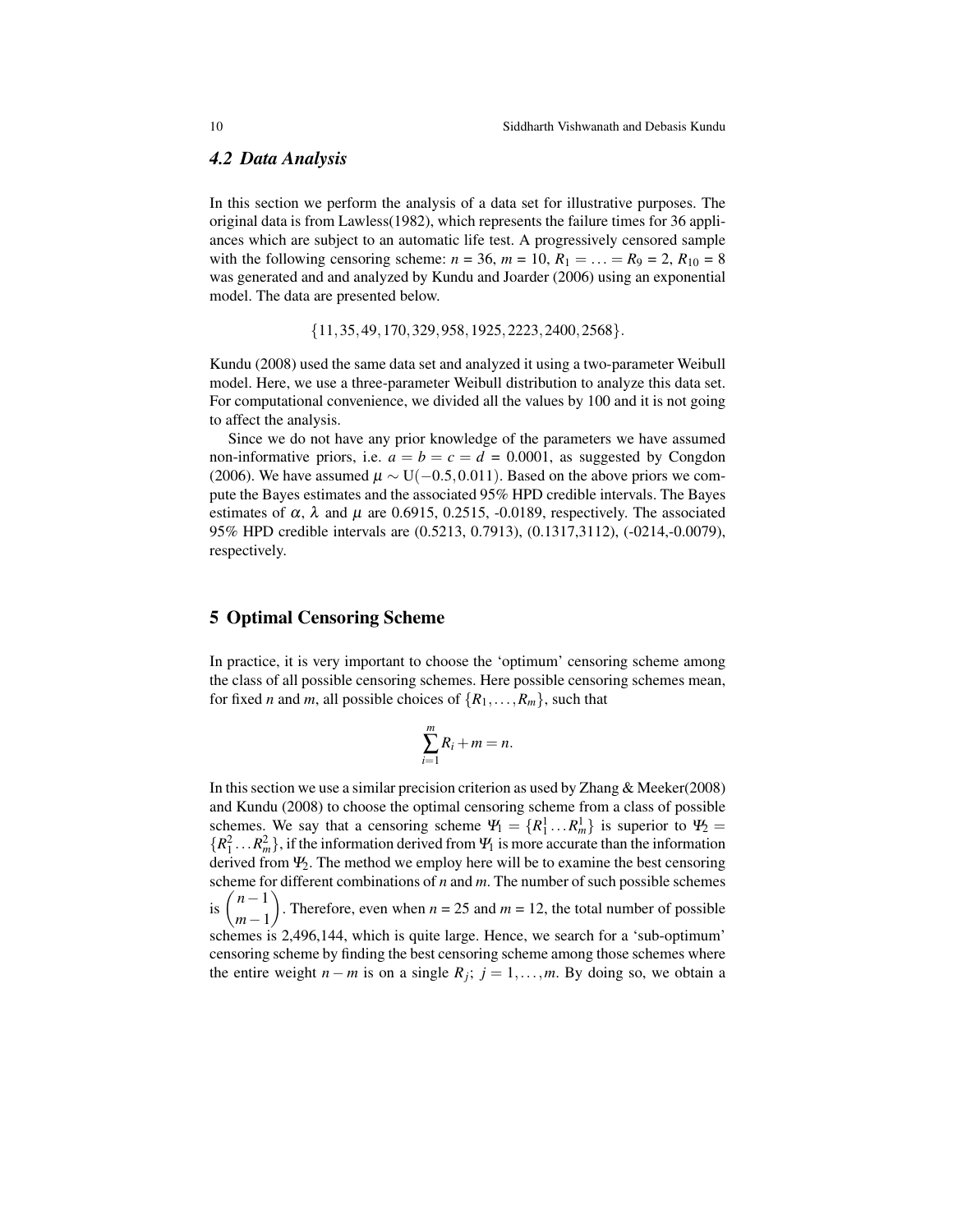#### *4.2 Data Analysis*

In this section we perform the analysis of a data set for illustrative purposes. The original data is from Lawless(1982), which represents the failure times for 36 appliances which are subject to an automatic life test. A progressively censored sample with the following censoring scheme:  $n = 36$ ,  $m = 10$ ,  $R_1 = ... = R_9 = 2$ ,  $R_{10} = 8$ was generated and and analyzed by Kundu and Joarder (2006) using an exponential model. The data are presented below.

 ${11,35,49,170,329,958,1925,2223,2400,2568}.$ 

Kundu (2008) used the same data set and analyzed it using a two-parameter Weibull model. Here, we use a three-parameter Weibull distribution to analyze this data set. For computational convenience, we divided all the values by 100 and it is not going to affect the analysis.

Since we do not have any prior knowledge of the parameters we have assumed non-informative priors, i.e.  $a = b = c = d = 0.0001$ , as suggested by Congdon (2006). We have assumed  $\mu \sim U(-0.5, 0.011)$ . Based on the above priors we compute the Bayes estimates and the associated 95% HPD credible intervals. The Bayes estimates of  $\alpha$ ,  $\lambda$  and  $\mu$  are 0.6915, 0.2515, -0.0189, respectively. The associated 95% HPD credible intervals are (0.5213, 0.7913), (0.1317,3112), (-0214,-0.0079), respectively.

## 5 Optimal Censoring Scheme

In practice, it is very important to choose the 'optimum' censoring scheme among the class of all possible censoring schemes. Here possible censoring schemes mean, for fixed *n* and *m*, all possible choices of  $\{R_1, \ldots, R_m\}$ , such that

$$
\sum_{i=1}^m R_i + m = n.
$$

In this section we use a similar precision criterion as used by Zhang & Meeker(2008) and Kundu (2008) to choose the optimal censoring scheme from a class of possible schemes. We say that a censoring scheme  $\Psi_1 = \{R_1^1 \dots R_m^1\}$  is superior to  $\Psi_2 =$  $\{R_1^2 \ldots R_m^2\}$ , if the information derived from  $\Psi_1$  is more accurate than the information derived from  $\Psi_2$ . The method we employ here will be to examine the best censoring scheme for different combinations of *n* and *m*. The number of such possible schemes is  $\binom{n-1}{1}$ *m*−1 ). Therefore, even when  $n = 25$  and  $m = 12$ , the total number of possible schemes is 2,496,144, which is quite large. Hence, we search for a 'sub-optimum' censoring scheme by finding the best censoring scheme among those schemes where the entire weight *n* − *m* is on a single  $R_j$ ; *j* = 1,...,*m*. By doing so, we obtain a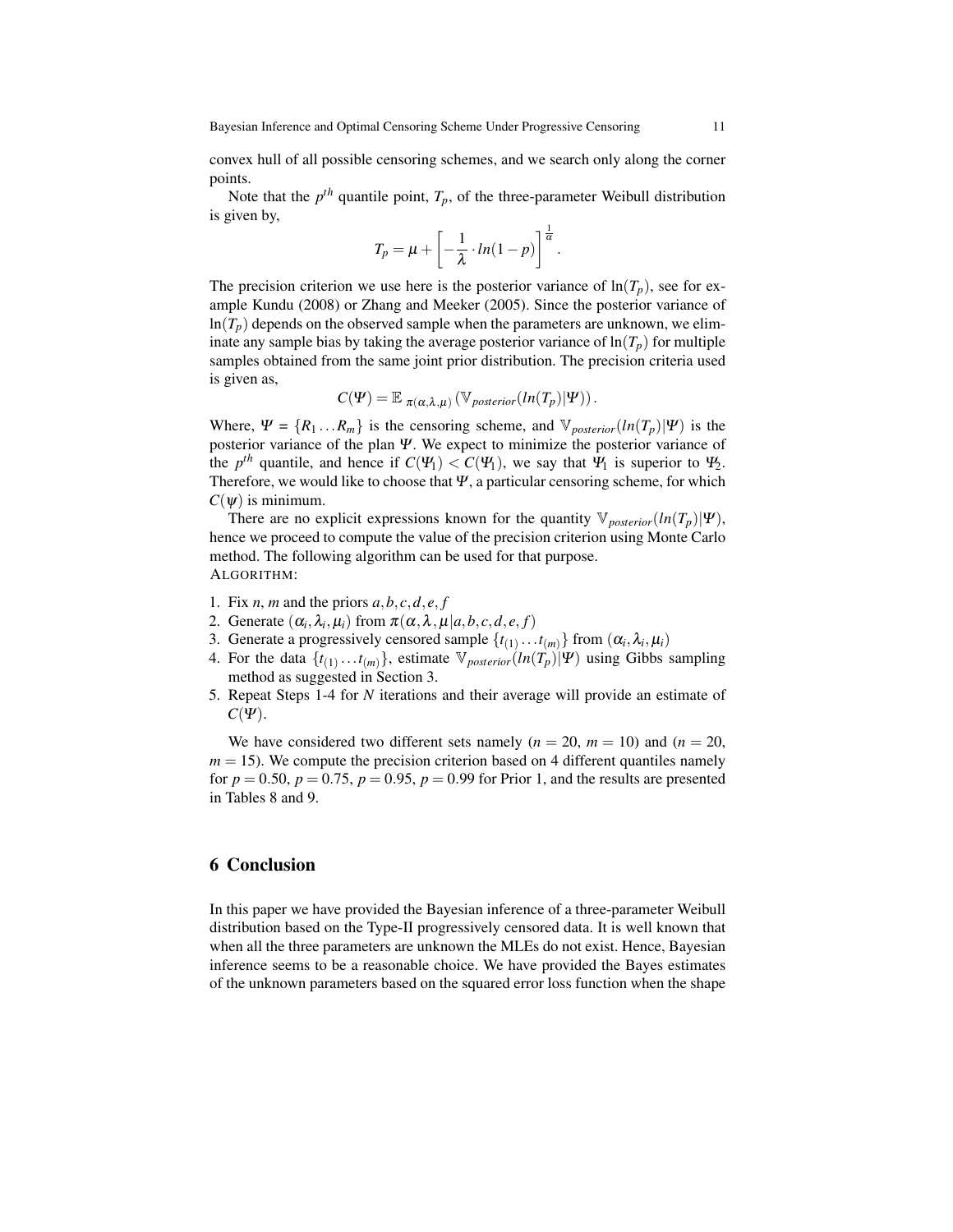convex hull of all possible censoring schemes, and we search only along the corner points.

Note that the  $p^{th}$  quantile point,  $T_p$ , of the three-parameter Weibull distribution is given by,

$$
T_p = \mu + \left[ -\frac{1}{\lambda} \cdot ln(1-p) \right]^{\frac{1}{\alpha}}.
$$

The precision criterion we use here is the posterior variance of  $\ln(T_p)$ , see for example Kundu (2008) or Zhang and Meeker (2005). Since the posterior variance of  $ln(T_p)$  depends on the observed sample when the parameters are unknown, we eliminate any sample bias by taking the average posterior variance of  $\ln(T_p)$  for multiple samples obtained from the same joint prior distribution. The precision criteria used is given as,

$$
C(\Psi) = \mathbb{E}_{\pi(\alpha,\lambda,\mu)}(\mathbb{V}_{\text{posterior}}(\ln(T_p)|\Psi)).
$$

Where,  $\Psi = \{R_1 ... R_m\}$  is the censoring scheme, and  $\mathbb{V}_{posterior}(\ln(T_p)|\Psi)$  is the posterior variance of the plan Ψ. We expect to minimize the posterior variance of the  $p^{th}$  quantile, and hence if  $C(\Psi_1) < C(\Psi_1)$ , we say that  $\Psi_1$  is superior to  $\Psi_2$ . Therefore, we would like to choose that  $\Psi$ , a particular censoring scheme, for which  $C(\psi)$  is minimum.

There are no explicit expressions known for the quantity  $\mathbb{V}_{posterior}(\ln(T_p)|\Psi)$ , hence we proceed to compute the value of the precision criterion using Monte Carlo method. The following algorithm can be used for that purpose. ALGORITHM:

- 1. Fix *n*, *m* and the priors  $a, b, c, d, e, f$
- 2. Generate  $(\alpha_i, \lambda_i, \mu_i)$  from  $\pi(\alpha, \lambda, \mu | a, b, c, d, e, f)$
- 3. Generate a progressively censored sample  $\{t_{(1)} \dots t_{(m)}\}$  from  $(\alpha_i, \lambda_i, \mu_i)$
- 4. For the data  $\{t_{(1)} \dots t_{(m)}\}$ , estimate  $\mathbb{V}_{posterior}(ln(T_p)|\Psi)$  using Gibbs sampling method as suggested in Section 3.
- 5. Repeat Steps 1-4 for *N* iterations and their average will provide an estimate of  $C(\Psi)$ .

We have considered two different sets namely  $(n = 20, m = 10)$  and  $(n = 20, m = 10)$  $m = 15$ ). We compute the precision criterion based on 4 different quantiles namely for  $p = 0.50$ ,  $p = 0.75$ ,  $p = 0.95$ ,  $p = 0.99$  for Prior 1, and the results are presented in Tables 8 and 9.

## 6 Conclusion

In this paper we have provided the Bayesian inference of a three-parameter Weibull distribution based on the Type-II progressively censored data. It is well known that when all the three parameters are unknown the MLEs do not exist. Hence, Bayesian inference seems to be a reasonable choice. We have provided the Bayes estimates of the unknown parameters based on the squared error loss function when the shape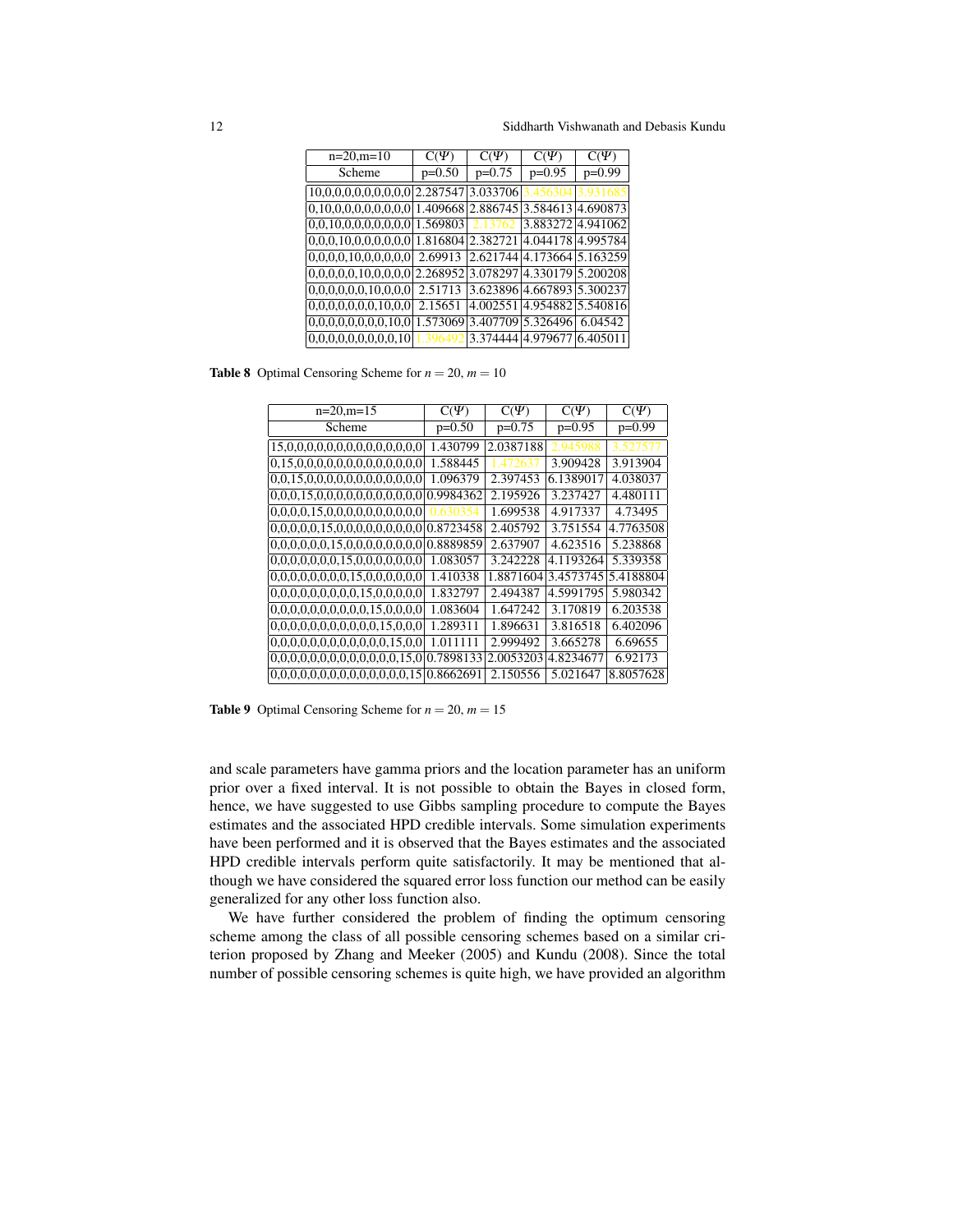12 Siddharth Vishwanath and Debasis Kundu

| $n=20, m=10$                                   | $C(\Psi)$ | $C(\Psi)$ | $C(\Psi)$                  | $C(\Psi)$         |
|------------------------------------------------|-----------|-----------|----------------------------|-------------------|
| Scheme                                         | $p=0.50$  | $p=0.75$  | $p=0.95$                   | $p=0.99$          |
| $[10,0,0,0,0,0,0,0,0,0]$ 2.287547 $[3.033706]$ |           |           | 456304                     |                   |
| $[0, 10, 0, 0, 0, 0, 0, 0, 0, 0]$ 1.409668     |           | 2.886745  | 3.584613                   | 14.690873         |
| $[0,0,10,0,0,0,0,0,0,0]$ 1.569803              |           | 2.13762   |                            | 3.88327214.941062 |
| $[0,0,0,10,0,0,0,0,0,0]$ 1.816804 2.382721     |           |           |                            | 4.044178 4.995784 |
| [0,0,0,0,10,0,0,0,0,0]                         | 2.69913   | 2.621744  |                            | 4.173664 5.163259 |
| $[0,0,0,0,0,10,0,0,0,0]$ 2.268952              |           | 3.078297  |                            | 4.330179 5.200208 |
| [0,0,0,0,0,0,10,0,0,0]                         | 2.51713   |           | 3.623896 4.667893 5.300237 |                   |
| [0,0,0,0,0,0,0,10,0,0]                         | 2.15651   | 4.002551  |                            | 4.954882 5.540816 |
| 0,0,0,0,0,0,0,0,10,0 1.573069                  |           |           | 3.407709 5.326496          | 6.04542           |
| [0,0,0,0,0,0,0,0,0,10]                         |           |           | 3.374444 4.979677          | 6.405011          |

**Table 8** Optimal Censoring Scheme for  $n = 20$ ,  $m = 10$ 

| $n=20, m=15$                               | $C(\Psi)$ | $C(\Psi)$ | $C(\Psi)$ | $C(\Psi)$ |
|--------------------------------------------|-----------|-----------|-----------|-----------|
| Scheme                                     | $p=0.50$  | $p=0.75$  | $p=0.95$  | $p=0.99$  |
| 15,0,0,0,0,0,0,0,0,0,0,0,0,0,0             | 1.430799  | 2.0387188 | 2.945988  | 3.527577  |
| 0,15,0,0,0,0,0,0,0,0,0,0,0,0,0             | 1.588445  | 1 47263   | 3.909428  | 3.913904  |
| [0,0,15,0,0,0,0,0,0,0,0,0,0,0,0]           | 1.096379  | 2.397453  | 6.1389017 | 4.038037  |
| 0,0,0,15,0,0,0,0,0,0,0,0,0,0,0             | 0.9984362 | 2.195926  | 3.237427  | 4.480111  |
| 0,0,0,0,15,0,0,0,0,0,0,0,0,0,0             | 630354    | 1.699538  | 4.917337  | 4.73495   |
| $ 0,0,0,0,0,15,0,0,0,0,0,0,0,0 0.8723458$  |           | 2.405792  | 3.751554  | 4.7763508 |
| $ 0,0,0,0,0,0,15,0,0,0,0,0,0,0 0.8889859$  |           | 2.637907  | 4.623516  | 5.238868  |
| 0,0,0,0,0,0,0,15,0,0,0,0,0,0,0             | 1.083057  | 3.242228  | 4.1193264 | 5.339358  |
| 0,0,0,0,0,0,0,0,15,0,0,0,0,0,0             | 1.410338  | 1.8871604 | 3.4573745 | 5.4188804 |
| 0.0.0.0.0.0.0.0.0.15.0.0.0.0.0             | 1.832797  | 2.494387  | 4.5991795 | 5.980342  |
| 0.0.0.0.0.0.0.0.0.0.15.0.0.0.0             | 1.083604  | 1.647242  | 3.170819  | 6.203538  |
| 0,0,0,0,0,0,0,0,0,0,0,15,0,0,0             | 1.289311  | 1.896631  | 3.816518  | 6.402096  |
| 0,0,0,0,0,0,0,0,0,0,0,0,15,0,0             | 1.011111  | 2.999492  | 3.665278  | 6.69655   |
| [0,0,0,0,0,0,0,0,0,0,0,0,0,15,0]           | 0.7898133 | 2.0053203 | 4.8234677 | 6.92173   |
| $ 0,0,0,0,0,0,0,0,0,0,0,0,0,15 $ 0.8662691 |           | 2.150556  | 5.021647  | 8.8057628 |

**Table 9** Optimal Censoring Scheme for  $n = 20$ ,  $m = 15$ 

and scale parameters have gamma priors and the location parameter has an uniform prior over a fixed interval. It is not possible to obtain the Bayes in closed form, hence, we have suggested to use Gibbs sampling procedure to compute the Bayes estimates and the associated HPD credible intervals. Some simulation experiments have been performed and it is observed that the Bayes estimates and the associated HPD credible intervals perform quite satisfactorily. It may be mentioned that although we have considered the squared error loss function our method can be easily generalized for any other loss function also.

We have further considered the problem of finding the optimum censoring scheme among the class of all possible censoring schemes based on a similar criterion proposed by Zhang and Meeker (2005) and Kundu (2008). Since the total number of possible censoring schemes is quite high, we have provided an algorithm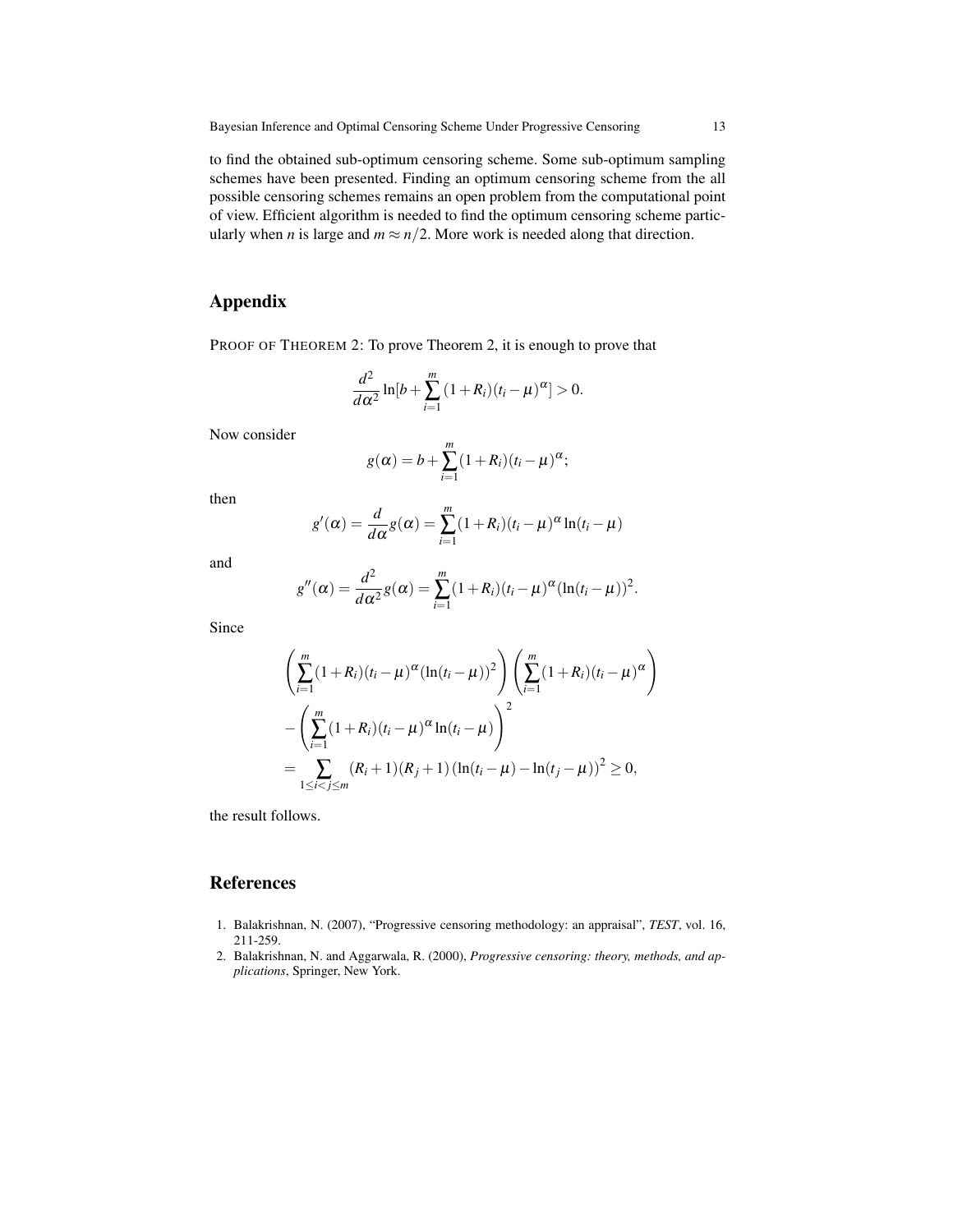to find the obtained sub-optimum censoring scheme. Some sub-optimum sampling schemes have been presented. Finding an optimum censoring scheme from the all possible censoring schemes remains an open problem from the computational point of view. Efficient algorithm is needed to find the optimum censoring scheme particularly when *n* is large and  $m \approx n/2$ . More work is needed along that direction.

## Appendix

PROOF OF THEOREM 2: To prove Theorem 2, it is enough to prove that

$$
\frac{d^2}{d\alpha^2}\ln[b+\sum_{i=1}^m(1+R_i)(t_i-\mu)^{\alpha}]>0.
$$

Now consider

$$
g(\alpha) = b + \sum_{i=1}^m (1 + R_i)(t_i - \mu)^{\alpha};
$$

then

$$
g'(\alpha) = \frac{d}{d\alpha}g(\alpha) = \sum_{i=1}^{m} (1 + R_i)(t_i - \mu)^{\alpha} \ln(t_i - \mu)
$$

and

$$
g''(\alpha) = \frac{d^2}{d\alpha^2}g(\alpha) = \sum_{i=1}^m (1+R_i)(t_i-\mu)^{\alpha}(\ln(t_i-\mu))^2.
$$

Since

$$
\left(\sum_{i=1}^{m} (1+R_i)(t_i - \mu)^{\alpha} (\ln(t_i - \mu))^2 \right) \left(\sum_{i=1}^{m} (1+R_i)(t_i - \mu)^{\alpha} \right)
$$

$$
-\left(\sum_{i=1}^{m} (1+R_i)(t_i - \mu)^{\alpha} \ln(t_i - \mu) \right)^2
$$

$$
=\sum_{1 \le i < j \le m} (R_i + 1)(R_j + 1) (\ln(t_i - \mu) - \ln(t_j - \mu))^2 \ge 0,
$$

the result follows.

### References

- 1. Balakrishnan, N. (2007), "Progressive censoring methodology: an appraisal", *TEST*, vol. 16, 211-259.
- 2. Balakrishnan, N. and Aggarwala, R. (2000), *Progressive censoring: theory, methods, and applications*, Springer, New York.